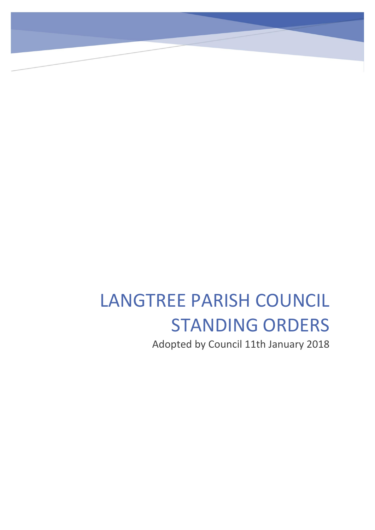# LANGTREE PARISH COUNCIL STANDING ORDERS

Adopted by Council 11th January 2018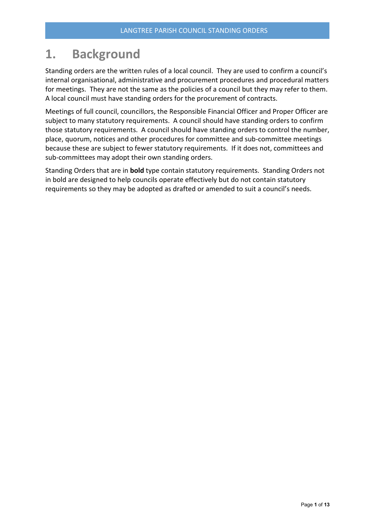# 1. Background

Standing orders are the written rules of a local council. They are used to confirm a council's internal organisational, administrative and procurement procedures and procedural matters for meetings. They are not the same as the policies of a council but they may refer to them. A local council must have standing orders for the procurement of contracts.

Meetings of full council, councillors, the Responsible Financial Officer and Proper Officer are subject to many statutory requirements. A council should have standing orders to confirm those statutory requirements. A council should have standing orders to control the number, place, quorum, notices and other procedures for committee and sub-committee meetings because these are subject to fewer statutory requirements. If it does not, committees and sub-committees may adopt their own standing orders.

<span id="page-1-0"></span>Standing Orders that are in **bold** type contain statutory requirements. Standing Orders not in bold are designed to help councils operate effectively but do not contain statutory requirements so they may be adopted as drafted or amended to suit a council's needs.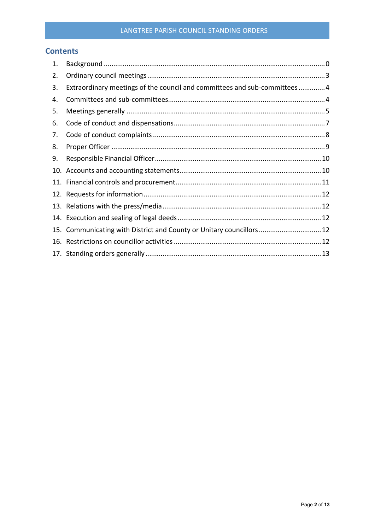#### LANGTREE PARISH COUNCIL STANDING ORDERS

### **Contents**

| 1. |                                                                          |
|----|--------------------------------------------------------------------------|
| 2. |                                                                          |
| 3. | Extraordinary meetings of the council and committees and sub-committees4 |
| 4. |                                                                          |
| 5. |                                                                          |
| 6. |                                                                          |
| 7. |                                                                          |
| 8. |                                                                          |
| 9. |                                                                          |
|    |                                                                          |
|    |                                                                          |
|    |                                                                          |
|    |                                                                          |
|    |                                                                          |
|    | 15. Communicating with District and County or Unitary councillors 12     |
|    |                                                                          |
|    |                                                                          |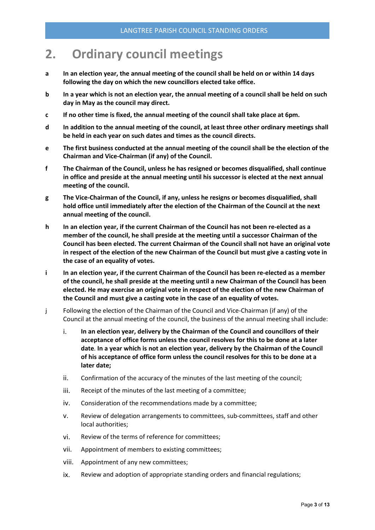# <span id="page-3-0"></span>2. Ordinary council meetings

- a In an election year, the annual meeting of the council shall be held on or within 14 days following the day on which the new councillors elected take office.
- b In a year which is not an election year, the annual meeting of a council shall be held on such day in May as the council may direct.
- c If no other time is fixed, the annual meeting of the council shall take place at 6pm.
- d In addition to the annual meeting of the council, at least three other ordinary meetings shall be held in each year on such dates and times as the council directs.
- e The first business conducted at the annual meeting of the council shall be the election of the Chairman and Vice-Chairman (if any) of the Council.
- f The Chairman of the Council, unless he has resigned or becomes disqualified, shall continue in office and preside at the annual meeting until his successor is elected at the next annual meeting of the council.
- g The Vice-Chairman of the Council, if any, unless he resigns or becomes disqualified, shall hold office until immediately after the election of the Chairman of the Council at the next annual meeting of the council.
- h In an election year, if the current Chairman of the Council has not been re-elected as a member of the council, he shall preside at the meeting until a successor Chairman of the Council has been elected. The current Chairman of the Council shall not have an original vote in respect of the election of the new Chairman of the Council but must give a casting vote in the case of an equality of votes.
- i In an election year, if the current Chairman of the Council has been re-elected as a member of the council, he shall preside at the meeting until a new Chairman of the Council has been elected. He may exercise an original vote in respect of the election of the new Chairman of the Council and must give a casting vote in the case of an equality of votes.
- j Following the election of the Chairman of the Council and Vice-Chairman (if any) of the Council at the annual meeting of the council, the business of the annual meeting shall include:
	- i. In an election year, delivery by the Chairman of the Council and councillors of their acceptance of office forms unless the council resolves for this to be done at a later date. In a year which is not an election year, delivery by the Chairman of the Council of his acceptance of office form unless the council resolves for this to be done at a later date;
	- ii. Confirmation of the accuracy of the minutes of the last meeting of the council;
	- iii. Receipt of the minutes of the last meeting of a committee;
	- iv. Consideration of the recommendations made by a committee;
	- v. Review of delegation arrangements to committees, sub-committees, staff and other local authorities;
	- vi. Review of the terms of reference for committees;
	- vii. Appointment of members to existing committees;
	- viii. Appointment of any new committees;
	- ix. Review and adoption of appropriate standing orders and financial regulations;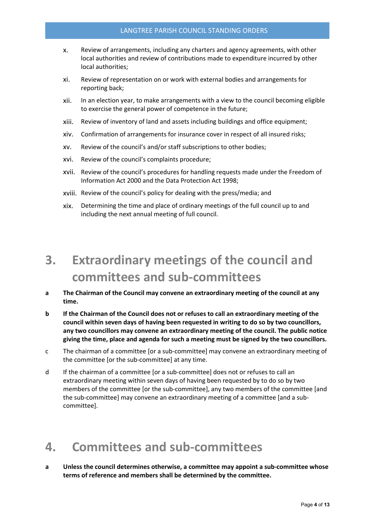- x. Review of arrangements, including any charters and agency agreements, with other local authorities and review of contributions made to expenditure incurred by other local authorities;
- xi. Review of representation on or work with external bodies and arrangements for reporting back;
- xii. In an election year, to make arrangements with a view to the council becoming eligible to exercise the general power of competence in the future;
- xiii. Review of inventory of land and assets including buildings and office equipment;
- xiv. Confirmation of arrangements for insurance cover in respect of all insured risks;
- xv. Review of the council's and/or staff subscriptions to other bodies;
- xvi. Review of the council's complaints procedure;
- xvii. Review of the council's procedures for handling requests made under the Freedom of Information Act 2000 and the Data Protection Act 1998;
- xviii. Review of the council's policy for dealing with the press/media; and
- xix. Determining the time and place of ordinary meetings of the full council up to and including the next annual meeting of full council.

# <span id="page-4-0"></span>3. Extraordinary meetings of the council and committees and sub-committees

- a The Chairman of the Council may convene an extraordinary meeting of the council at any time.
- b If the Chairman of the Council does not or refuses to call an extraordinary meeting of the council within seven days of having been requested in writing to do so by two councillors, any two councillors may convene an extraordinary meeting of the council. The public notice giving the time, place and agenda for such a meeting must be signed by the two councillors.
- c The chairman of a committee [or a sub-committee] may convene an extraordinary meeting of the committee [or the sub-committee] at any time.
- d If the chairman of a committee [or a sub-committee] does not or refuses to call an extraordinary meeting within seven days of having been requested by to do so by two members of the committee [or the sub-committee], any two members of the committee [and the sub-committee] may convene an extraordinary meeting of a committee [and a subcommittee].

# <span id="page-4-1"></span>4. Committees and sub-committees

a Unless the council determines otherwise, a committee may appoint a sub-committee whose terms of reference and members shall be determined by the committee.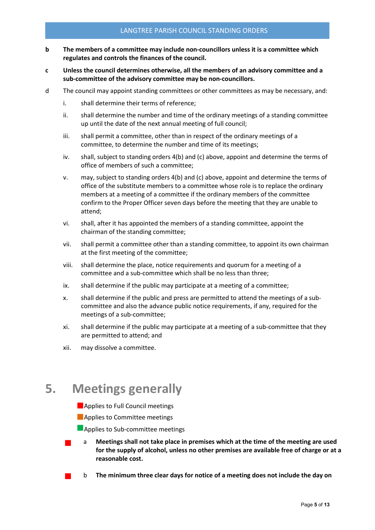#### LANGTREE PARISH COUNCIL STANDING ORDERS

- b The members of a committee may include non-councillors unless it is a committee which regulates and controls the finances of the council.
- c Unless the council determines otherwise, all the members of an advisory committee and a sub-committee of the advisory committee may be non-councillors.
- d The council may appoint standing committees or other committees as may be necessary, and:
	- i. shall determine their terms of reference;
	- ii. shall determine the number and time of the ordinary meetings of a standing committee up until the date of the next annual meeting of full council;
	- iii. shall permit a committee, other than in respect of the ordinary meetings of a committee, to determine the number and time of its meetings;
	- iv. shall, subject to standing orders 4(b) and (c) above, appoint and determine the terms of office of members of such a committee;
	- v. may, subject to standing orders 4(b) and (c) above, appoint and determine the terms of office of the substitute members to a committee whose role is to replace the ordinary members at a meeting of a committee if the ordinary members of the committee confirm to the Proper Officer seven days before the meeting that they are unable to attend;
	- vi. shall, after it has appointed the members of a standing committee, appoint the chairman of the standing committee;
	- vii. shall permit a committee other than a standing committee, to appoint its own chairman at the first meeting of the committee;
	- viii. shall determine the place, notice requirements and quorum for a meeting of a committee and a sub-committee which shall be no less than three;
	- ix. shall determine if the public may participate at a meeting of a committee;
	- x. shall determine if the public and press are permitted to attend the meetings of a subcommittee and also the advance public notice requirements, if any, required for the meetings of a sub-committee;
	- xi. shall determine if the public may participate at a meeting of a sub-committee that they are permitted to attend; and
	- xii. may dissolve a committee.

# <span id="page-5-0"></span>5. Meetings generally

- **Applies to Full Council meetings**
- **Applies to Committee meetings**
- **Applies to Sub-committee meetings**
- <sup>a</sup> Meetings shall not take place in premises which at the time of the meeting are used for the supply of alcohol, unless no other premises are available free of charge or at a reasonable cost.
- <sup>b</sup> The minimum three clear days for notice of a meeting does not include the day on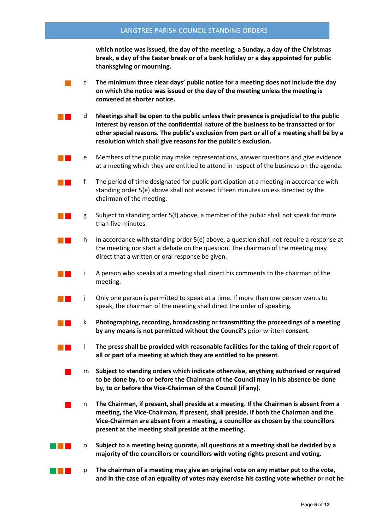which notice was issued, the day of the meeting, a Sunday, a day of the Christmas break, a day of the Easter break or of a bank holiday or a day appointed for public thanksgiving or mourning.

|  | The minimum three clear days' public notice for a meeting does not include the day |
|--|------------------------------------------------------------------------------------|
|  | on which the notice was issued or the day of the meeting unless the meeting is     |
|  | convened at shorter notice.                                                        |

 $\Box$  d Meetings shall be open to the public unless their presence is prejudicial to the public interest by reason of the confidential nature of the business to be transacted or for other special reasons. The public's exclusion from part or all of a meeting shall be by a resolution which shall give reasons for the public's exclusion.

- <sup>e</sup> Members of the public may make representations, answer questions and give evidence at a meeting which they are entitled to attend in respect of the business on the agenda.
- $\blacksquare$  f The period of time designated for public participation at a meeting in accordance with standing order 5(e) above shall not exceed fifteen minutes unless directed by the chairman of the meeting.
- g Subject to standing order  $5(f)$  above, a member of the public shall not speak for more than five minutes.
- **F** In In accordance with standing order 5(e) above, a question shall not require a response at the meeting nor start a debate on the question. The chairman of the meeting may direct that a written or oral response be given.
- <sup>i</sup> A person who speaks at a meeting shall direct his comments to the chairman of the meeting.
- <sup>j</sup> Only one person is permitted to speak at a time. If more than one person wants to speak, the chairman of the meeting shall direct the order of speaking.
	- <sup>k</sup> Photographing, recording, broadcasting or transmitting the proceedings of a meeting by any means is not permitted without the Council's prior written consent.
- **Light** The press shall be provided with reasonable facilities for the taking of their report of all or part of a meeting at which they are entitled to be present.
	- <sup>m</sup> Subject to standing orders which indicate otherwise, anything authorised or required to be done by, to or before the Chairman of the Council may in his absence be done by, to or before the Vice-Chairman of the Council (if any).
	- <sup>n</sup> The Chairman, if present, shall preside at a meeting. If the Chairman is absent from a meeting, the Vice-Chairman, if present, shall preside. If both the Chairman and the Vice-Chairman are absent from a meeting, a councillor as chosen by the councillors present at the meeting shall preside at the meeting.
- <sup>o</sup> Subject to a meeting being quorate, all questions at a meeting shall be decided by a majority of the councillors or councillors with voting rights present and voting.
- **P T**  $\blacksquare$  **p** The chairman of a meeting may give an original vote on any matter put to the vote, and in the case of an equality of votes may exercise his casting vote whether or not he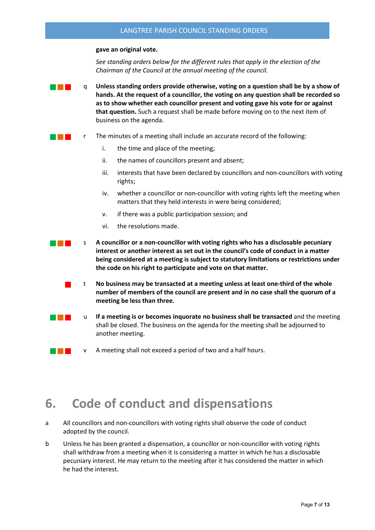#### gave an original vote.

*See standing orders below for the different rules that apply in the election of the Chairman of the Council at the annual meeting of the council.*

- <sup>q</sup> Unless standing orders provide otherwise, voting on a question shall be by a show of hands. At the request of a councillor, the voting on any question shall be recorded so as to show whether each councillor present and voting gave his vote for or against that question. Such a request shall be made before moving on to the next item of business on the agenda.
- **Fall Exercise 2** and The minutes of a meeting shall include an accurate record of the following:
	- i. the time and place of the meeting;
	- ii. the names of councillors present and absent;
	- iii. interests that have been declared by councillors and non-councillors with voting rights;
	- iv. whether a councillor or non-councillor with voting rights left the meeting when matters that they held interests in were being considered;
	- v. if there was a public participation session; and
	- vi. the resolutions made.
- **S** A councillor or a non-councillor with voting rights who has a disclosable pecuniary interest or another interest as set out in the council's code of conduct in a matter being considered at a meeting is subject to statutory limitations or restrictions under the code on his right to participate and vote on that matter.
	- <sup>t</sup> No business may be transacted at a meeting unless at least one-third of the whole number of members of the council are present and in no case shall the quorum of a meeting be less than three.
	- $\Box$  If a meeting is or becomes inquorate no business shall be transacted and the meeting shall be closed. The business on the agenda for the meeting shall be adjourned to another meeting.
- **v** A meeting shall not exceed a period of two and a half hours.

# <span id="page-7-0"></span>6. Code of conduct and dispensations

- a All councillors and non-councillors with voting rights shall observe the code of conduct adopted by the council.
- b Unless he has been granted a dispensation, a councillor or non-councillor with voting rights shall withdraw from a meeting when it is considering a matter in which he has a disclosable pecuniary interest. He may return to the meeting after it has considered the matter in which he had the interest.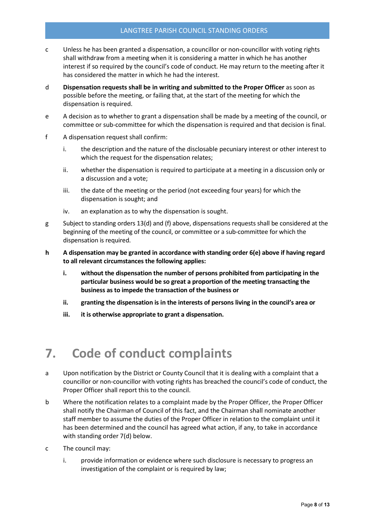#### LANGTREE PARISH COUNCIL STANDING ORDERS

- c Unless he has been granted a dispensation, a councillor or non-councillor with voting rights shall withdraw from a meeting when it is considering a matter in which he has another interest if so required by the council's code of conduct. He may return to the meeting after it has considered the matter in which he had the interest.
- d Dispensation requests shall be in writing and submitted to the Proper Officer as soon as possible before the meeting, or failing that, at the start of the meeting for which the dispensation is required.
- e A decision as to whether to grant a dispensation shall be made by a meeting of the council, or committee or sub-committee for which the dispensation is required and that decision is final.
- f A dispensation request shall confirm:
	- i. the description and the nature of the disclosable pecuniary interest or other interest to which the request for the dispensation relates;
	- ii. whether the dispensation is required to participate at a meeting in a discussion only or a discussion and a vote;
	- iii. the date of the meeting or the period (not exceeding four years) for which the dispensation is sought; and
	- iv. an explanation as to why the dispensation is sought.
- g Subject to standing orders 13(d) and (f) above, dispensations requests shall be considered at the beginning of the meeting of the council, or committee or a sub-committee for which the dispensation is required.
- h A dispensation may be granted in accordance with standing order 6(e) above if having regard to all relevant circumstances the following applies:
	- i. without the dispensation the number of persons prohibited from participating in the particular business would be so great a proportion of the meeting transacting the business as to impede the transaction of the business or
	- ii. granting the dispensation is in the interests of persons living in the council's area or
	- iii. it is otherwise appropriate to grant a dispensation.

# <span id="page-8-0"></span>7. Code of conduct complaints

- a Upon notification by the District or County Council that it is dealing with a complaint that a councillor or non-councillor with voting rights has breached the council's code of conduct, the Proper Officer shall report this to the council.
- b Where the notification relates to a complaint made by the Proper Officer, the Proper Officer shall notify the Chairman of Council of this fact, and the Chairman shall nominate another staff member to assume the duties of the Proper Officer in relation to the complaint until it has been determined and the council has agreed what action, if any, to take in accordance with standing order 7(d) below.
- c The council may:
	- i. provide information or evidence where such disclosure is necessary to progress an investigation of the complaint or is required by law;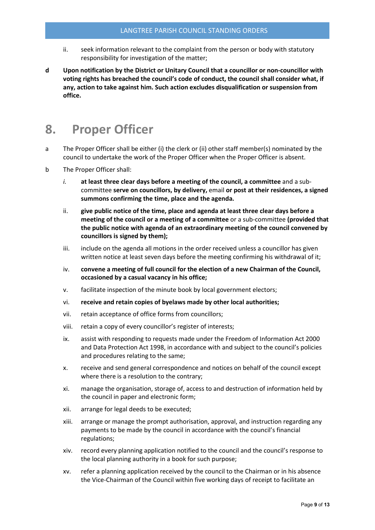- ii. seek information relevant to the complaint from the person or body with statutory responsibility for investigation of the matter;
- d Upon notification by the District or Unitary Council that a councillor or non-councillor with voting rights has breached the council's code of conduct, the council shall consider what, if any, action to take against him. Such action excludes disqualification or suspension from office.

## <span id="page-9-0"></span>8. Proper Officer

- a The Proper Officer shall be either (i) the clerk or (ii) other staff member(s) nominated by the council to undertake the work of the Proper Officer when the Proper Officer is absent.
- b The Proper Officer shall:
	- *i.* at least three clear days before a meeting of the council, a committee and a subcommittee serve on councillors, by delivery, email or post at their residences, a signed summons confirming the time, place and the agenda.
	- ii. give public notice of the time, place and agenda at least three clear days before a meeting of the council or a meeting of a committee or a sub-committee (provided that the public notice with agenda of an extraordinary meeting of the council convened by councillors is signed by them);
	- iii. include on the agenda all motions in the order received unless a councillor has given written notice at least seven days before the meeting confirming his withdrawal of it;
	- iv. convene a meeting of full council for the election of a new Chairman of the Council, occasioned by a casual vacancy in his office;
	- v. facilitate inspection of the minute book by local government electors;
	- vi. receive and retain copies of byelaws made by other local authorities;
	- vii. retain acceptance of office forms from councillors;
	- viii. retain a copy of every councillor's register of interests;
	- ix. assist with responding to requests made under the Freedom of Information Act 2000 and Data Protection Act 1998, in accordance with and subject to the council's policies and procedures relating to the same;
	- x. receive and send general correspondence and notices on behalf of the council except where there is a resolution to the contrary;
	- xi. manage the organisation, storage of, access to and destruction of information held by the council in paper and electronic form;
	- xii. arrange for legal deeds to be executed;
	- xiii. arrange or manage the prompt authorisation, approval, and instruction regarding any payments to be made by the council in accordance with the council's financial regulations;
	- xiv. record every planning application notified to the council and the council's response to the local planning authority in a book for such purpose;
	- xv. refer a planning application received by the council to the Chairman or in his absence the Vice-Chairman of the Council within five working days of receipt to facilitate an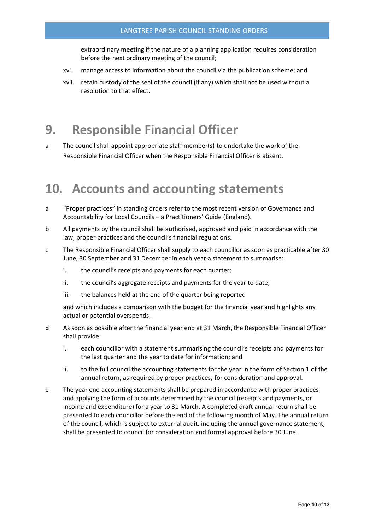extraordinary meeting if the nature of a planning application requires consideration before the next ordinary meeting of the council;

- xvi. manage access to information about the council via the publication scheme; and
- xvii. retain custody of the seal of the council (if any) which shall not be used without a resolution to that effect.

### <span id="page-10-0"></span>9. Responsible Financial Officer

a The council shall appoint appropriate staff member(s) to undertake the work of the Responsible Financial Officer when the Responsible Financial Officer is absent.

### <span id="page-10-1"></span>10. Accounts and accounting statements

- a "Proper practices" in standing orders refer to the most recent version of Governance and Accountability for Local Councils – a Practitioners' Guide (England).
- b All payments by the council shall be authorised, approved and paid in accordance with the law, proper practices and the council's financial regulations.
- c The Responsible Financial Officer shall supply to each councillor as soon as practicable after 30 June, 30 September and 31 December in each year a statement to summarise:
	- i. the council's receipts and payments for each quarter;
	- ii. the council's aggregate receipts and payments for the year to date;
	- iii. the balances held at the end of the quarter being reported

and which includes a comparison with the budget for the financial year and highlights any actual or potential overspends.

- d As soon as possible after the financial year end at 31 March, the Responsible Financial Officer shall provide:
	- i. each councillor with a statement summarising the council's receipts and payments for the last quarter and the year to date for information; and
	- ii. to the full council the accounting statements for the year in the form of Section 1 of the annual return, as required by proper practices, for consideration and approval.
- e The year end accounting statements shall be prepared in accordance with proper practices and applying the form of accounts determined by the council (receipts and payments, or income and expenditure) for a year to 31 March. A completed draft annual return shall be presented to each councillor before the end of the following month of May. The annual return of the council, which is subject to external audit, including the annual governance statement, shall be presented to council for consideration and formal approval before 30 June.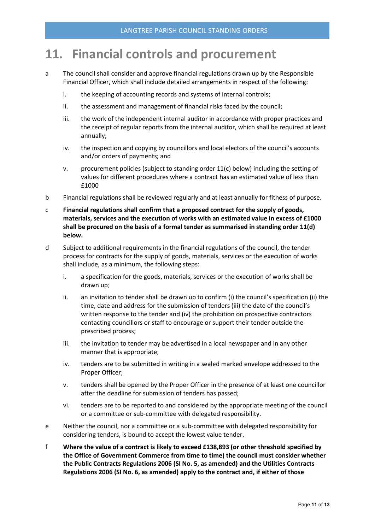## <span id="page-11-0"></span>11. Financial controls and procurement

- a The council shall consider and approve financial regulations drawn up by the Responsible Financial Officer, which shall include detailed arrangements in respect of the following:
	- i. the keeping of accounting records and systems of internal controls;
	- ii. the assessment and management of financial risks faced by the council;
	- iii. the work of the independent internal auditor in accordance with proper practices and the receipt of regular reports from the internal auditor, which shall be required at least annually;
	- iv. the inspection and copying by councillors and local electors of the council's accounts and/or orders of payments; and
	- v. procurement policies (subject to standing order 11(c) below) including the setting of values for different procedures where a contract has an estimated value of less than £1000
- b Financial regulations shall be reviewed regularly and at least annually for fitness of purpose.
- c Financial regulations shall confirm that a proposed contract for the supply of goods, materials, services and the execution of works with an estimated value in excess of £1000 shall be procured on the basis of a formal tender as summarised in standing order 11(d) below.
- d Subject to additional requirements in the financial regulations of the council, the tender process for contracts for the supply of goods, materials, services or the execution of works shall include, as a minimum, the following steps:
	- i. a specification for the goods, materials, services or the execution of works shall be drawn up;
	- ii. an invitation to tender shall be drawn up to confirm (i) the council's specification (ii) the time, date and address for the submission of tenders (iii) the date of the council's written response to the tender and (iv) the prohibition on prospective contractors contacting councillors or staff to encourage or support their tender outside the prescribed process;
	- iii. the invitation to tender may be advertised in a local newspaper and in any other manner that is appropriate;
	- iv. tenders are to be submitted in writing in a sealed marked envelope addressed to the Proper Officer;
	- v. tenders shall be opened by the Proper Officer in the presence of at least one councillor after the deadline for submission of tenders has passed;
	- vi. tenders are to be reported to and considered by the appropriate meeting of the council or a committee or sub-committee with delegated responsibility.
- e Neither the council, nor a committee or a sub-committee with delegated responsibility for considering tenders, is bound to accept the lowest value tender.
- f Where the value of a contract is likely to exceed £138,893 (or other threshold specified by the Office of Government Commerce from time to time) the council must consider whether the Public Contracts Regulations 2006 (SI No. 5, as amended) and the Utilities Contracts Regulations 2006 (SI No. 6, as amended) apply to the contract and, if either of those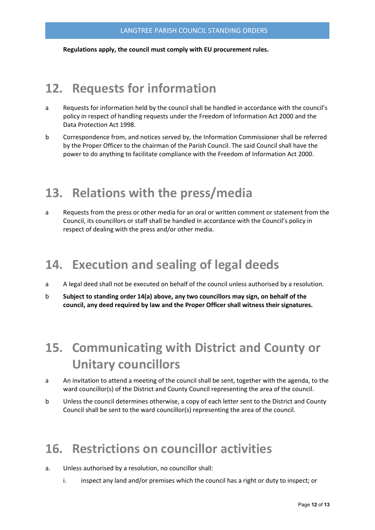Regulations apply, the council must comply with EU procurement rules.

## <span id="page-12-0"></span>12. Requests for information

- a Requests for information held by the council shall be handled in accordance with the council's policy in respect of handling requests under the Freedom of Information Act 2000 and the Data Protection Act 1998.
- b Correspondence from, and notices served by, the Information Commissioner shall be referred by the Proper Officer to the chairman of the Parish Council. The said Council shall have the power to do anything to facilitate compliance with the Freedom of Information Act 2000.

# <span id="page-12-1"></span>13. Relations with the press/media

a Requests from the press or other media for an oral or written comment or statement from the Council, its councillors or staff shall be handled in accordance with the Council's policy in respect of dealing with the press and/or other media.

# <span id="page-12-2"></span>14. Execution and sealing of legal deeds

- a A legal deed shall not be executed on behalf of the council unless authorised by a resolution.
- b Subject to standing order 14(a) above, any two councillors may sign, on behalf of the council, any deed required by law and the Proper Officer shall witness their signatures.

# <span id="page-12-3"></span>15. Communicating with District and County or Unitary councillors

- a An invitation to attend a meeting of the council shall be sent, together with the agenda, to the ward councillor(s) of the District and County Council representing the area of the council.
- b Unless the council determines otherwise, a copy of each letter sent to the District and County Council shall be sent to the ward councillor(s) representing the area of the council.

# <span id="page-12-4"></span>16. Restrictions on councillor activities

- a. Unless authorised by a resolution, no councillor shall:
	- i. inspect any land and/or premises which the council has a right or duty to inspect; or